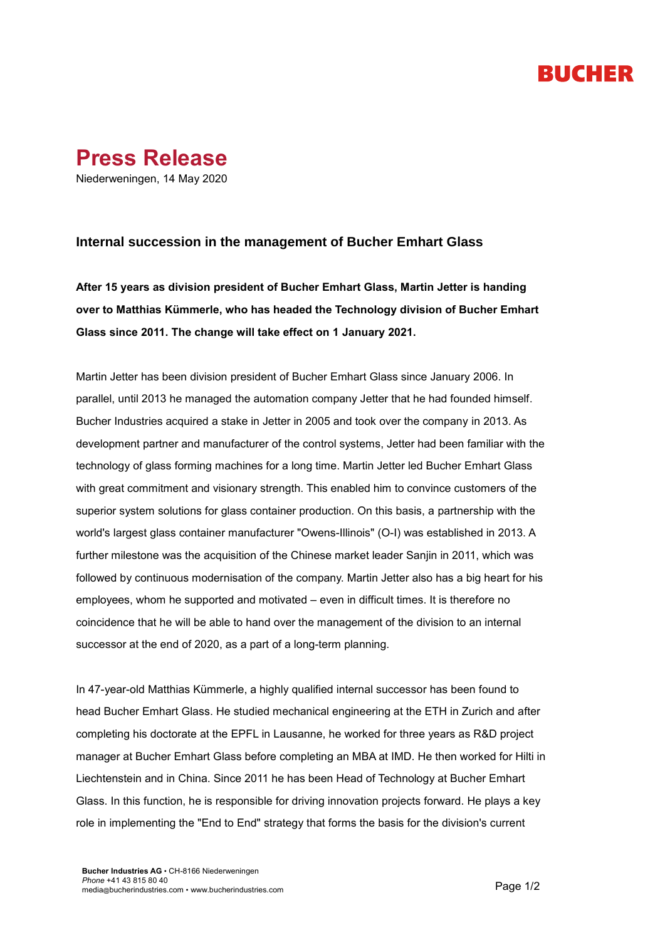# RUCHER



### **Internal succession in the management of Bucher Emhart Glass**

**After 15 years as division president of Bucher Emhart Glass, Martin Jetter is handing over to Matthias Kümmerle, who has headed the Technology division of Bucher Emhart Glass since 2011. The change will take effect on 1 January 2021.**

Martin Jetter has been division president of Bucher Emhart Glass since January 2006. In parallel, until 2013 he managed the automation company Jetter that he had founded himself. Bucher Industries acquired a stake in Jetter in 2005 and took over the company in 2013. As development partner and manufacturer of the control systems, Jetter had been familiar with the technology of glass forming machines for a long time. Martin Jetter led Bucher Emhart Glass with great commitment and visionary strength. This enabled him to convince customers of the superior system solutions for glass container production. On this basis, a partnership with the world's largest glass container manufacturer "Owens-Illinois" (O-I) was established in 2013. A further milestone was the acquisition of the Chinese market leader Sanjin in 2011, which was followed by continuous modernisation of the company. Martin Jetter also has a big heart for his employees, whom he supported and motivated – even in difficult times. It is therefore no coincidence that he will be able to hand over the management of the division to an internal successor at the end of 2020, as a part of a long-term planning.

In 47-year-old Matthias Kümmerle, a highly qualified internal successor has been found to head Bucher Emhart Glass. He studied mechanical engineering at the ETH in Zurich and after completing his doctorate at the EPFL in Lausanne, he worked for three years as R&D project manager at Bucher Emhart Glass before completing an MBA at IMD. He then worked for Hilti in Liechtenstein and in China. Since 2011 he has been Head of Technology at Bucher Emhart Glass. In this function, he is responsible for driving innovation projects forward. He plays a key role in implementing the "End to End" strategy that forms the basis for the division's current